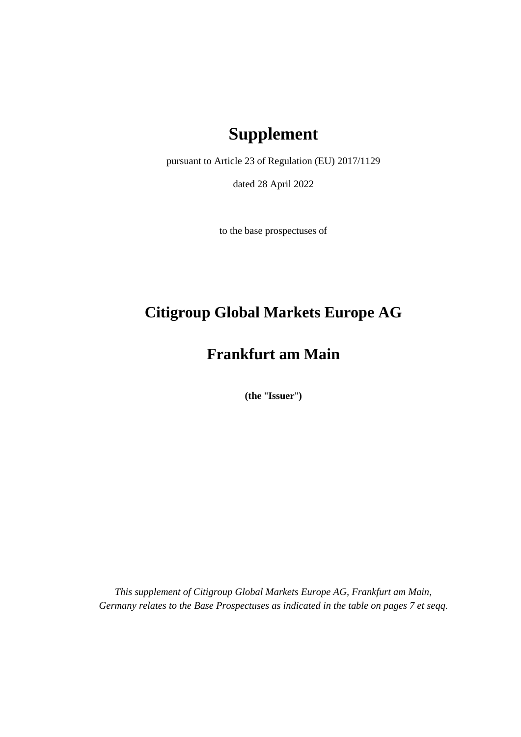# **Supplement**

pursuant to Article 23 of Regulation (EU) 2017/1129

dated 28 April 2022

to the base prospectuses of

# **Citigroup Global Markets Europe AG**

# **Frankfurt am Main**

**(the** "**Issuer**"**)**

*This supplement of Citigroup Global Markets Europe AG, Frankfurt am Main, Germany relates to the Base Prospectuses as indicated in the table on pages [7](#page-7-0) et seqq.*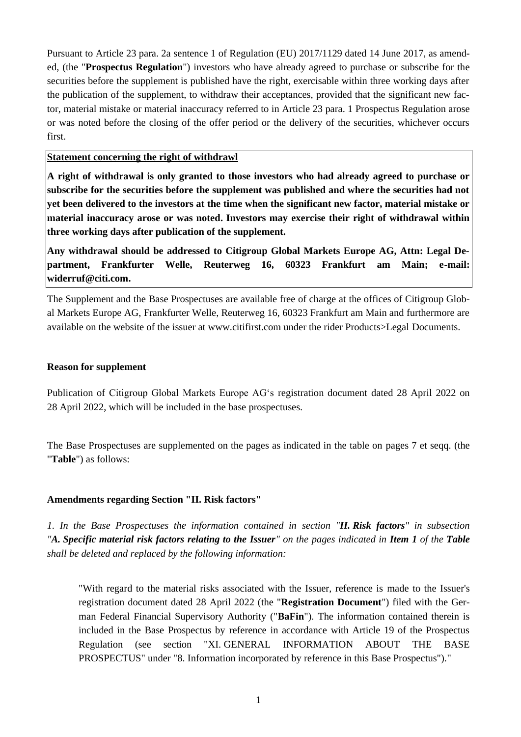Pursuant to Article 23 para. 2a sentence 1 of Regulation (EU) 2017/1129 dated 14 June 2017, as amended, (the "**Prospectus Regulation**") investors who have already agreed to purchase or subscribe for the securities before the supplement is published have the right, exercisable within three working days after the publication of the supplement, to withdraw their acceptances, provided that the significant new factor, material mistake or material inaccuracy referred to in Article 23 para. 1 Prospectus Regulation arose or was noted before the closing of the offer period or the delivery of the securities, whichever occurs first.

**Statement concerning the right of withdrawl**

**A right of withdrawal is only granted to those investors who had already agreed to purchase or subscribe for the securities before the supplement was published and where the securities had not yet been delivered to the investors at the time when the significant new factor, material mistake or material inaccuracy arose or was noted. Investors may exercise their right of withdrawal within three working days after publication of the supplement.**

**Any withdrawal should be addressed to Citigroup Global Markets Europe AG, Attn: Legal Department, Frankfurter Welle, Reuterweg 16, 60323 Frankfurt am Main; e-mail: widerruf@citi.com.**

The Supplement and the Base Prospectuses are available free of charge at the offices of Citigroup Global Markets Europe AG, Frankfurter Welle, Reuterweg 16, 60323 Frankfurt am Main and furthermore are available on the website of the issuer at www.citifirst.com under the rider Products>Legal Documents.

#### **Reason for supplement**

Publication of Citigroup Global Markets Europe AG's registration document dated 28 April 2022 on 28 April 2022, which will be included in the base prospectuses.

The Base Prospectuses are supplemented on the pages as indicated in the table on pages [7](#page-7-0) et seqq. (the "**Table**") as follows:

#### **Amendments regarding Section "II. Risk factors"**

*1. In the Base Prospectuses the information contained in section "II. Risk factors" in subsection "A. Specific material risk factors relating to the Issuer" on the pages indicated in Item 1 of the Table shall be deleted and replaced by the following information:*

"With regard to the material risks associated with the Issuer, reference is made to the Issuer's registration document dated 28 April 2022 (the "**Registration Document**") filed with the German Federal Financial Supervisory Authority ("**BaFin**"). The information contained therein is included in the Base Prospectus by reference in accordance with Article 19 of the Prospectus Regulation (see section "XI. GENERAL INFORMATION ABOUT THE BASE PROSPECTUS" under "8. Information incorporated by reference in this Base Prospectus")."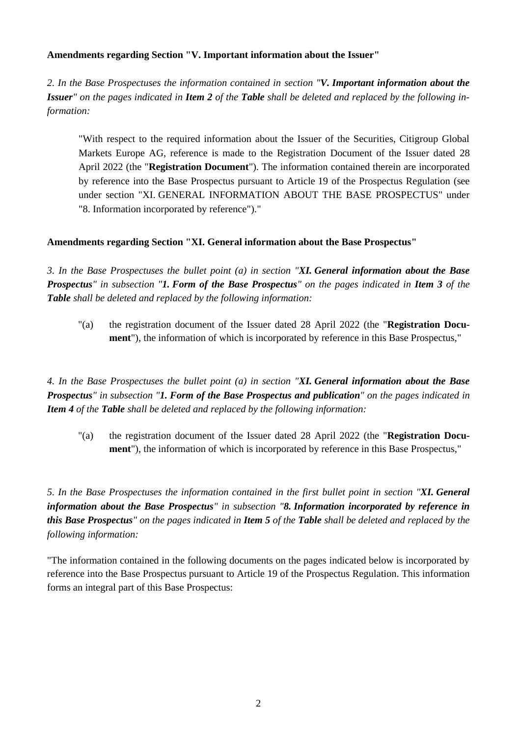### **Amendments regarding Section "V. Important information about the Issuer"**

*2. In the Base Prospectuses the information contained in section "V. Important information about the Issuer" on the pages indicated in Item 2 of the Table shall be deleted and replaced by the following information:*

"With respect to the required information about the Issuer of the Securities, Citigroup Global Markets Europe AG, reference is made to the Registration Document of the Issuer dated 28 April 2022 (the "**Registration Document**"). The information contained therein are incorporated by reference into the Base Prospectus pursuant to Article 19 of the Prospectus Regulation (see under section "XI. GENERAL INFORMATION ABOUT THE BASE PROSPECTUS" under "8. Information incorporated by reference")."

### **Amendments regarding Section "XI. General information about the Base Prospectus"**

*3. In the Base Prospectuses the bullet point (a) in section "XI. General information about the Base Prospectus" in subsection "1. Form of the Base Prospectus" on the pages indicated in Item 3 of the Table shall be deleted and replaced by the following information:*

"(a) the registration document of the Issuer dated 28 April 2022 (the "**Registration Document**"), the information of which is incorporated by reference in this Base Prospectus,"

*4. In the Base Prospectuses the bullet point (a) in section "XI. General information about the Base Prospectus" in subsection "1. Form of the Base Prospectus and publication" on the pages indicated in Item 4 of the Table shall be deleted and replaced by the following information:*

"(a) the registration document of the Issuer dated 28 April 2022 (the "**Registration Document**"), the information of which is incorporated by reference in this Base Prospectus,"

*5. In the Base Prospectuses the information contained in the first bullet point in section "XI. General information about the Base Prospectus" in subsection "8. Information incorporated by reference in this Base Prospectus" on the pages indicated in Item 5 of the Table shall be deleted and replaced by the following information:*

"The information contained in the following documents on the pages indicated below is incorporated by reference into the Base Prospectus pursuant to Article 19 of the Prospectus Regulation. This information forms an integral part of this Base Prospectus: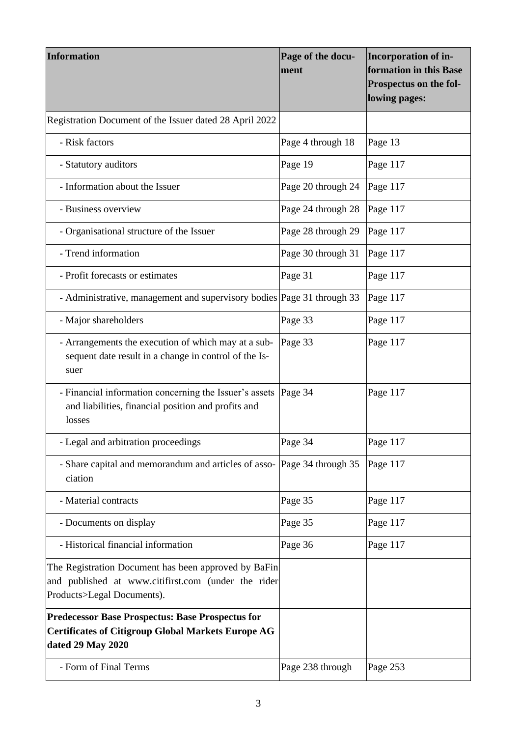| <b>Information</b>                                                                                                                        | Page of the docu-<br>lment | <b>Incorporation of in-</b><br>formation in this Base<br>Prospectus on the fol-<br>lowing pages: |  |  |
|-------------------------------------------------------------------------------------------------------------------------------------------|----------------------------|--------------------------------------------------------------------------------------------------|--|--|
| Registration Document of the Issuer dated 28 April 2022                                                                                   |                            |                                                                                                  |  |  |
| - Risk factors                                                                                                                            | Page 4 through 18          | Page 13                                                                                          |  |  |
| - Statutory auditors                                                                                                                      | Page 19                    | Page 117<br>Page 117<br>Page 117<br>Page 117<br>Page 117<br>Page 117                             |  |  |
| - Information about the Issuer                                                                                                            | Page 20 through 24         |                                                                                                  |  |  |
| - Business overview                                                                                                                       | Page 24 through 28         |                                                                                                  |  |  |
| - Organisational structure of the Issuer                                                                                                  | Page 28 through 29         |                                                                                                  |  |  |
| - Trend information                                                                                                                       | Page 30 through 31         |                                                                                                  |  |  |
| - Profit forecasts or estimates                                                                                                           | Page 31                    |                                                                                                  |  |  |
| - Administrative, management and supervisory bodies Page 31 through 33                                                                    |                            | Page 117                                                                                         |  |  |
| - Major shareholders                                                                                                                      | Page 33                    | Page 117                                                                                         |  |  |
| - Arrangements the execution of which may at a sub-<br>sequent date result in a change in control of the Is-<br>suer                      | Page 33                    | Page 117                                                                                         |  |  |
| - Financial information concerning the Issuer's assets<br>and liabilities, financial position and profits and<br>losses                   | Page 34                    | Page 117                                                                                         |  |  |
| - Legal and arbitration proceedings                                                                                                       | Page 34                    | Page 117                                                                                         |  |  |
| - Share capital and memorandum and articles of asso- Page 34 through 35<br>ciation                                                        |                            | Page 117                                                                                         |  |  |
| - Material contracts                                                                                                                      | Page 35                    | Page 117                                                                                         |  |  |
| - Documents on display                                                                                                                    | Page 35                    | Page 117                                                                                         |  |  |
| - Historical financial information                                                                                                        | Page 36                    | Page 117                                                                                         |  |  |
| The Registration Document has been approved by BaFin<br>and published at www.citifirst.com (under the rider<br>Products>Legal Documents). |                            |                                                                                                  |  |  |
| <b>Predecessor Base Prospectus: Base Prospectus for</b><br><b>Certificates of Citigroup Global Markets Europe AG</b><br>dated 29 May 2020 |                            |                                                                                                  |  |  |
| - Form of Final Terms                                                                                                                     | Page 238 through           | Page 253                                                                                         |  |  |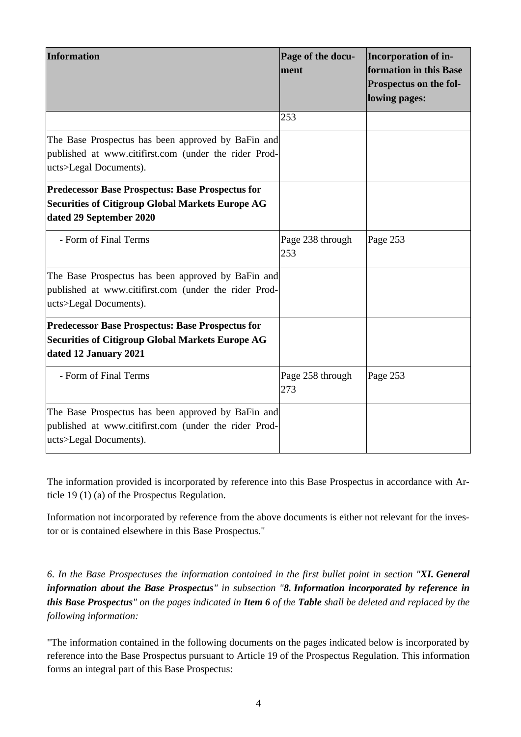| <b>Information</b>                                                                                                                            | Page of the docu-<br>ment | Incorporation of in-<br>formation in this Base<br>Prospectus on the fol-<br>lowing pages: |
|-----------------------------------------------------------------------------------------------------------------------------------------------|---------------------------|-------------------------------------------------------------------------------------------|
|                                                                                                                                               | 253                       |                                                                                           |
| The Base Prospectus has been approved by BaFin and<br>published at www.citifirst.com (under the rider Prod-<br>ucts>Legal Documents).         |                           |                                                                                           |
| <b>Predecessor Base Prospectus: Base Prospectus for</b><br><b>Securities of Citigroup Global Markets Europe AG</b><br>dated 29 September 2020 |                           |                                                                                           |
| - Form of Final Terms                                                                                                                         | Page 238 through<br>253   | Page 253                                                                                  |
| The Base Prospectus has been approved by BaFin and<br>published at www.citifirst.com (under the rider Prod-<br>ucts>Legal Documents).         |                           |                                                                                           |
| <b>Predecessor Base Prospectus: Base Prospectus for</b><br><b>Securities of Citigroup Global Markets Europe AG</b><br>dated 12 January 2021   |                           |                                                                                           |
| - Form of Final Terms                                                                                                                         | Page 258 through<br>273   | Page 253                                                                                  |
| The Base Prospectus has been approved by BaFin and<br>published at www.citifirst.com (under the rider Prod-<br>ucts>Legal Documents).         |                           |                                                                                           |

The information provided is incorporated by reference into this Base Prospectus in accordance with Article 19 (1) (a) of the Prospectus Regulation.

Information not incorporated by reference from the above documents is either not relevant for the investor or is contained elsewhere in this Base Prospectus."

*6. In the Base Prospectuses the information contained in the first bullet point in section "XI. General information about the Base Prospectus" in subsection "8. Information incorporated by reference in this Base Prospectus" on the pages indicated in Item 6 of the Table shall be deleted and replaced by the following information:*

"The information contained in the following documents on the pages indicated below is incorporated by reference into the Base Prospectus pursuant to Article 19 of the Prospectus Regulation. This information forms an integral part of this Base Prospectus: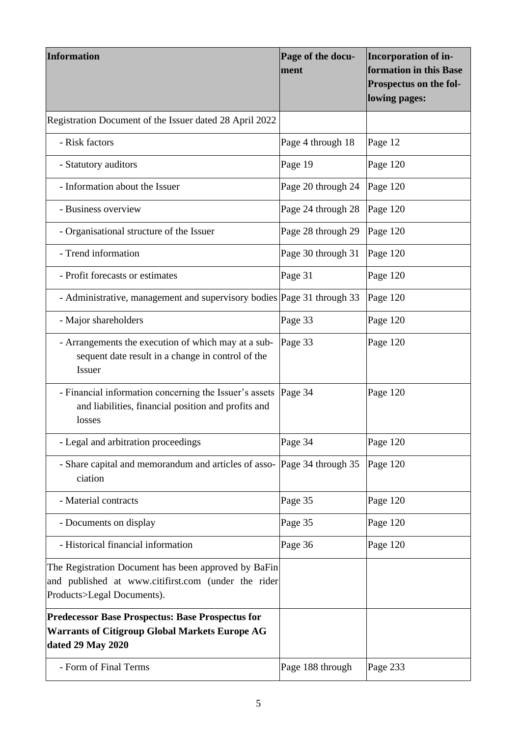| <b>Information</b>                                                                                                                        | Page of the docu-<br>ment | Incorporation of in-<br>formation in this Base<br>Prospectus on the fol-<br>lowing pages: |  |  |
|-------------------------------------------------------------------------------------------------------------------------------------------|---------------------------|-------------------------------------------------------------------------------------------|--|--|
| Registration Document of the Issuer dated 28 April 2022                                                                                   |                           |                                                                                           |  |  |
| - Risk factors                                                                                                                            | Page 4 through 18         | Page 12                                                                                   |  |  |
| - Statutory auditors                                                                                                                      | Page 19                   | Page 120<br>Page 120<br>Page 120<br>Page 120<br>Page 120                                  |  |  |
| - Information about the Issuer                                                                                                            | Page 20 through 24        |                                                                                           |  |  |
| - Business overview                                                                                                                       | Page 24 through 28        |                                                                                           |  |  |
| - Organisational structure of the Issuer                                                                                                  | Page 28 through 29        |                                                                                           |  |  |
| - Trend information                                                                                                                       | Page 30 through 31        |                                                                                           |  |  |
| - Profit forecasts or estimates                                                                                                           | Page 31                   | Page 120                                                                                  |  |  |
| - Administrative, management and supervisory bodies Page 31 through 33                                                                    |                           | Page 120                                                                                  |  |  |
| - Major shareholders                                                                                                                      | Page 33                   | Page 120<br>Page 120<br>Page 120<br>Page 120                                              |  |  |
| - Arrangements the execution of which may at a sub-<br>sequent date result in a change in control of the<br>Issuer                        | Page 33                   |                                                                                           |  |  |
| - Financial information concerning the Issuer's assets<br>and liabilities, financial position and profits and<br>losses                   | Page 34                   |                                                                                           |  |  |
| - Legal and arbitration proceedings                                                                                                       | Page 34                   |                                                                                           |  |  |
| - Share capital and memorandum and articles of asso- Page 34 through 35<br>ciation                                                        |                           | Page 120                                                                                  |  |  |
| - Material contracts                                                                                                                      | Page 35                   | Page 120                                                                                  |  |  |
| - Documents on display                                                                                                                    | Page 35                   | Page 120                                                                                  |  |  |
| - Historical financial information                                                                                                        | Page 36                   | Page 120                                                                                  |  |  |
| The Registration Document has been approved by BaFin<br>and published at www.citifirst.com (under the rider<br>Products>Legal Documents). |                           |                                                                                           |  |  |
| <b>Predecessor Base Prospectus: Base Prospectus for</b><br><b>Warrants of Citigroup Global Markets Europe AG</b><br>dated 29 May 2020     |                           |                                                                                           |  |  |
| - Form of Final Terms                                                                                                                     | Page 188 through          | Page 233                                                                                  |  |  |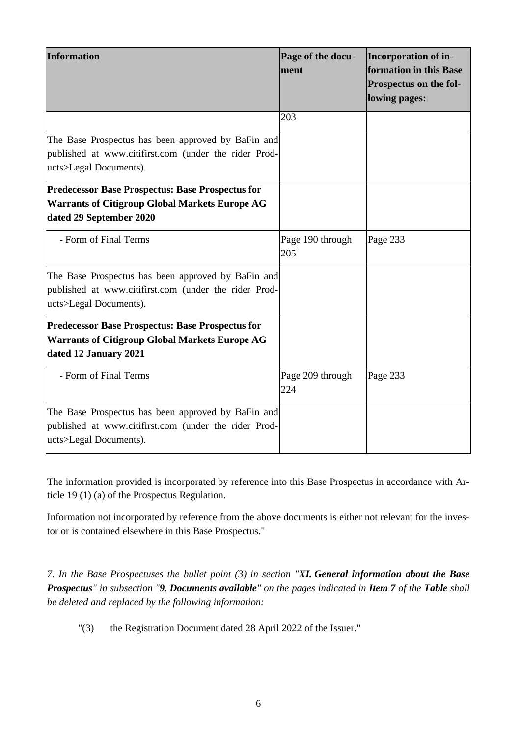| <b>Information</b>                                                                                                                          | Page of the docu-<br>ment | Incorporation of in-<br>formation in this Base<br>Prospectus on the fol-<br>lowing pages: |
|---------------------------------------------------------------------------------------------------------------------------------------------|---------------------------|-------------------------------------------------------------------------------------------|
|                                                                                                                                             | 203                       |                                                                                           |
| The Base Prospectus has been approved by BaFin and<br>published at www.citifirst.com (under the rider Prod-<br>ucts>Legal Documents).       |                           |                                                                                           |
| <b>Predecessor Base Prospectus: Base Prospectus for</b><br><b>Warrants of Citigroup Global Markets Europe AG</b><br>dated 29 September 2020 |                           |                                                                                           |
| - Form of Final Terms                                                                                                                       | Page 190 through<br>205   | Page 233                                                                                  |
| The Base Prospectus has been approved by BaFin and<br>published at www.citifirst.com (under the rider Prod-<br>ucts>Legal Documents).       |                           |                                                                                           |
| <b>Predecessor Base Prospectus: Base Prospectus for</b><br><b>Warrants of Citigroup Global Markets Europe AG</b><br>dated 12 January 2021   |                           |                                                                                           |
| - Form of Final Terms                                                                                                                       | Page 209 through<br>224   | Page 233                                                                                  |
| The Base Prospectus has been approved by BaFin and<br>published at www.citifirst.com (under the rider Prod-<br>ucts>Legal Documents).       |                           |                                                                                           |

The information provided is incorporated by reference into this Base Prospectus in accordance with Article 19 (1) (a) of the Prospectus Regulation.

Information not incorporated by reference from the above documents is either not relevant for the investor or is contained elsewhere in this Base Prospectus."

*7. In the Base Prospectuses the bullet point (3) in section "XI. General information about the Base Prospectus" in subsection "9. Documents available" on the pages indicated in Item 7 of the Table shall be deleted and replaced by the following information:*

"(3) the Registration Document dated 28 April 2022 of the Issuer."